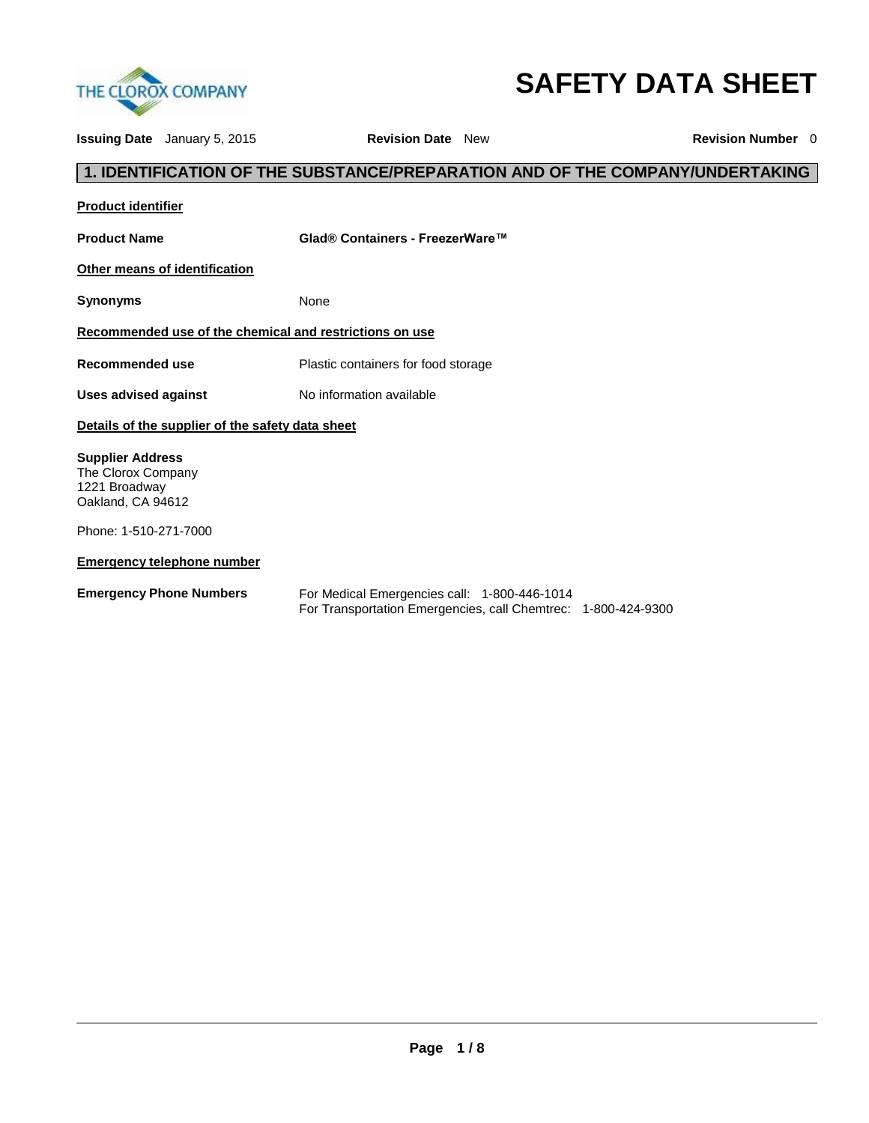

# **SAFETY DATA SHEET**

|                                                                                     | <b>Issuing Date</b> January 5, 2015 | <b>Revision Date</b> New                                                                                      | <b>Revision Number</b> 0 |  |  |  |  |  |  |
|-------------------------------------------------------------------------------------|-------------------------------------|---------------------------------------------------------------------------------------------------------------|--------------------------|--|--|--|--|--|--|
|                                                                                     |                                     | 1. IDENTIFICATION OF THE SUBSTANCE/PREPARATION AND OF THE COMPANY/UNDERTAKING                                 |                          |  |  |  |  |  |  |
| <b>Product identifier</b>                                                           |                                     |                                                                                                               |                          |  |  |  |  |  |  |
| <b>Product Name</b>                                                                 |                                     | Glad® Containers - FreezerWare™                                                                               |                          |  |  |  |  |  |  |
|                                                                                     | Other means of identification       |                                                                                                               |                          |  |  |  |  |  |  |
| <b>Synonyms</b>                                                                     |                                     | None                                                                                                          |                          |  |  |  |  |  |  |
| Recommended use of the chemical and restrictions on use                             |                                     |                                                                                                               |                          |  |  |  |  |  |  |
| <b>Recommended use</b>                                                              |                                     | Plastic containers for food storage                                                                           |                          |  |  |  |  |  |  |
| <b>Uses advised against</b>                                                         |                                     | No information available                                                                                      |                          |  |  |  |  |  |  |
| Details of the supplier of the safety data sheet                                    |                                     |                                                                                                               |                          |  |  |  |  |  |  |
| <b>Supplier Address</b><br>The Clorox Company<br>1221 Broadway<br>Oakland, CA 94612 |                                     |                                                                                                               |                          |  |  |  |  |  |  |
| Phone: 1-510-271-7000                                                               |                                     |                                                                                                               |                          |  |  |  |  |  |  |
|                                                                                     | <b>Emergency telephone number</b>   |                                                                                                               |                          |  |  |  |  |  |  |
| <b>Emergency Phone Numbers</b>                                                      |                                     | For Medical Emergencies call: 1-800-446-1014<br>For Transportation Emergencies, call Chemtrec: 1-800-424-9300 |                          |  |  |  |  |  |  |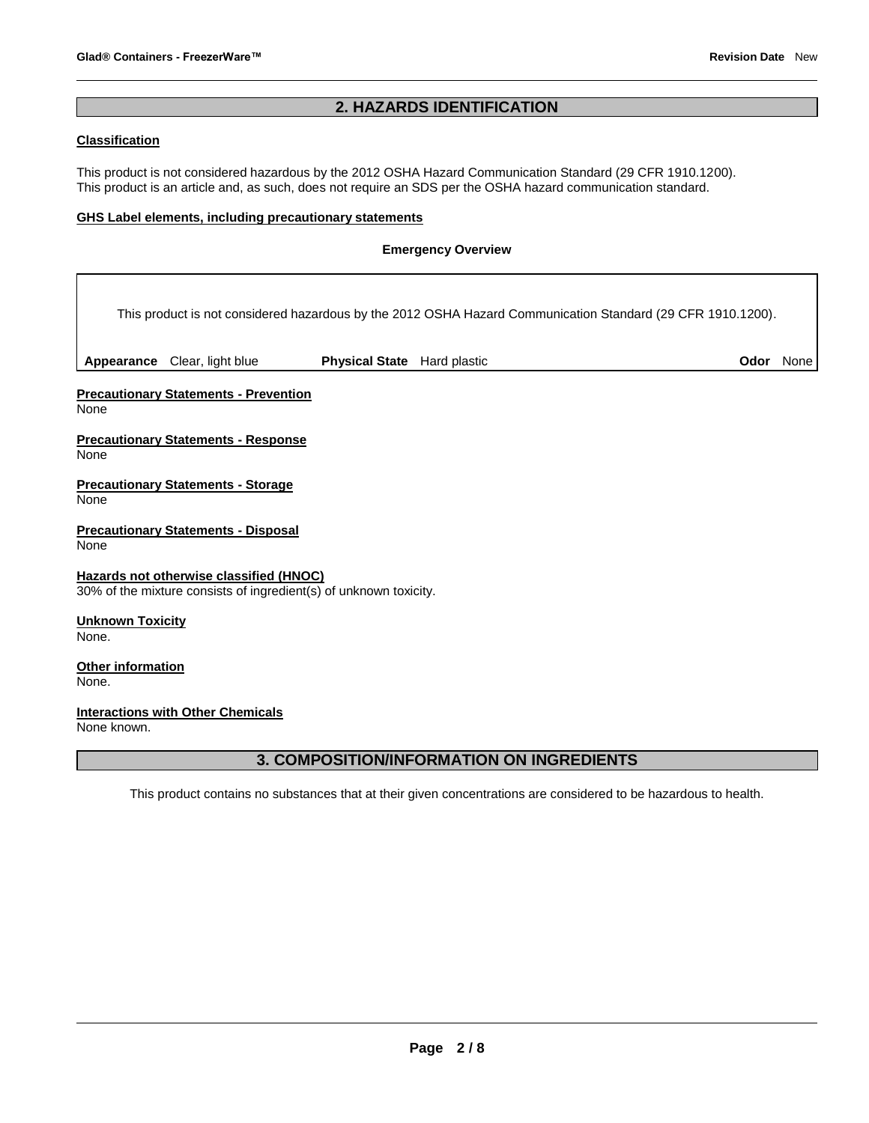# **2. HAZARDS IDENTIFICATION**

# **Classification**

This product is not considered hazardous by the 2012 OSHA Hazard Communication Standard (29 CFR 1910.1200). This product is an article and, as such, does not require an SDS per the OSHA hazard communication standard.

#### **GHS Label elements, including precautionary statements**

## **Emergency Overview**

|                                  |                                                                                                              |                             | This product is not considered hazardous by the 2012 OSHA Hazard Communication Standard (29 CFR 1910.1200). |                  |  |
|----------------------------------|--------------------------------------------------------------------------------------------------------------|-----------------------------|-------------------------------------------------------------------------------------------------------------|------------------|--|
|                                  | Appearance Clear, light blue                                                                                 | Physical State Hard plastic |                                                                                                             | <b>Odor</b> None |  |
| None                             | <b>Precautionary Statements - Prevention</b>                                                                 |                             |                                                                                                             |                  |  |
| None                             | <b>Precautionary Statements - Response</b>                                                                   |                             |                                                                                                             |                  |  |
| None                             | <b>Precautionary Statements - Storage</b>                                                                    |                             |                                                                                                             |                  |  |
| None                             | <b>Precautionary Statements - Disposal</b>                                                                   |                             |                                                                                                             |                  |  |
|                                  | Hazards not otherwise classified (HNOC)<br>30% of the mixture consists of ingredient(s) of unknown toxicity. |                             |                                                                                                             |                  |  |
| <b>Unknown Toxicity</b><br>None. |                                                                                                              |                             |                                                                                                             |                  |  |
| Other information<br>None.       |                                                                                                              |                             |                                                                                                             |                  |  |
| None known.                      | <b>Interactions with Other Chemicals</b>                                                                     |                             |                                                                                                             |                  |  |

# **3. COMPOSITION/INFORMATION ON INGREDIENTS**

This product contains no substances that at their given concentrations are considered to be hazardous to health.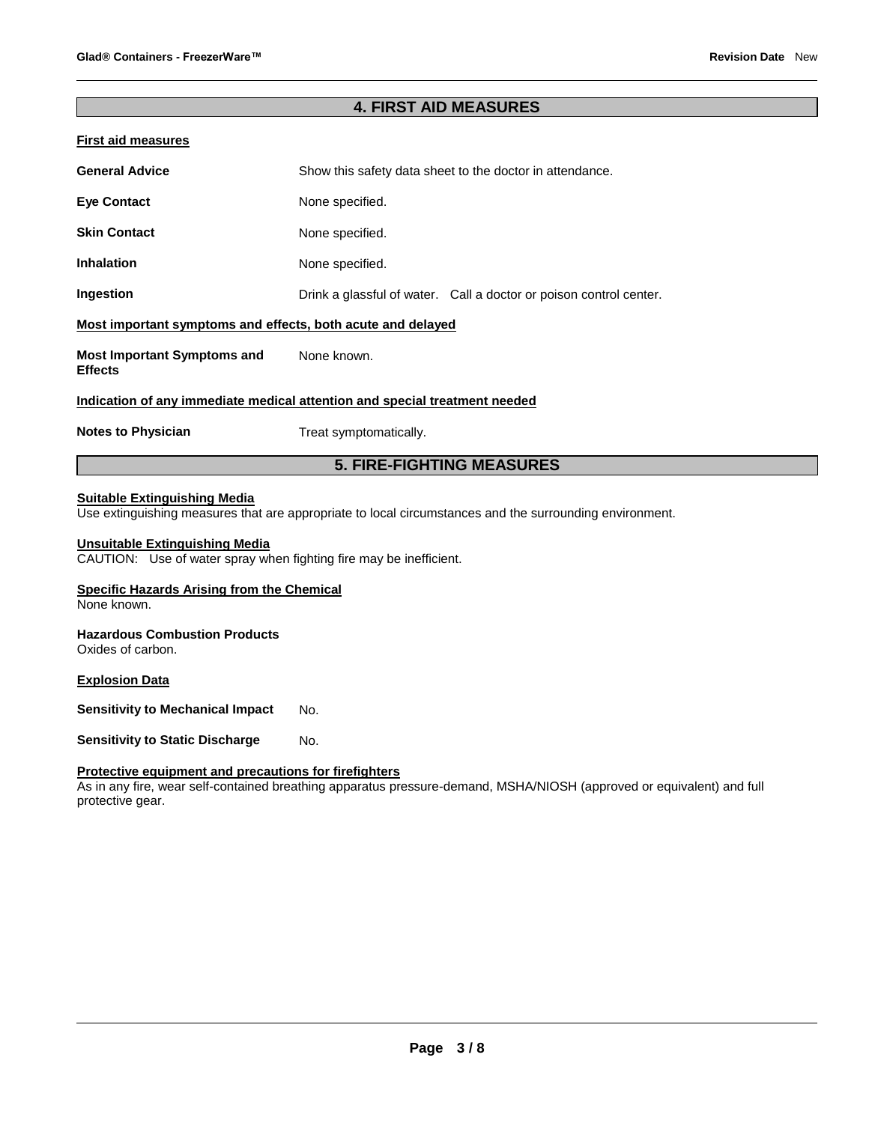## **4. FIRST AID MEASURES**

| <b>First aid measures</b>                                                  |                                                                    |  |  |  |  |
|----------------------------------------------------------------------------|--------------------------------------------------------------------|--|--|--|--|
| <b>General Advice</b>                                                      | Show this safety data sheet to the doctor in attendance.           |  |  |  |  |
| <b>Eye Contact</b>                                                         | None specified.                                                    |  |  |  |  |
| <b>Skin Contact</b>                                                        | None specified.                                                    |  |  |  |  |
| <b>Inhalation</b>                                                          | None specified.                                                    |  |  |  |  |
| Ingestion                                                                  | Drink a glassful of water. Call a doctor or poison control center. |  |  |  |  |
| Most important symptoms and effects, both acute and delayed                |                                                                    |  |  |  |  |
| <b>Most Important Symptoms and</b><br><b>Effects</b>                       | None known.                                                        |  |  |  |  |
| Indication of any immediate medical attention and special treatment needed |                                                                    |  |  |  |  |
| <b>Notes to Physician</b>                                                  | Treat symptomatically.                                             |  |  |  |  |
| <b>5. FIRE-FIGHTING MEASURES</b>                                           |                                                                    |  |  |  |  |

#### **Suitable Extinguishing Media**

Use extinguishing measures that are appropriate to local circumstances and the surrounding environment.

#### **Unsuitable Extinguishing Media**

CAUTION: Use of water spray when fighting fire may be inefficient.

#### **Specific Hazards Arising from the Chemical**

None known.

# **Hazardous Combustion Products**

Oxides of carbon.

#### **Explosion Data**

**Sensitivity to Mechanical Impact** No.

**Sensitivity to Static Discharge Mo.** 

## **Protective equipment and precautions for firefighters**

As in any fire, wear self-contained breathing apparatus pressure-demand, MSHA/NIOSH (approved or equivalent) and full protective gear.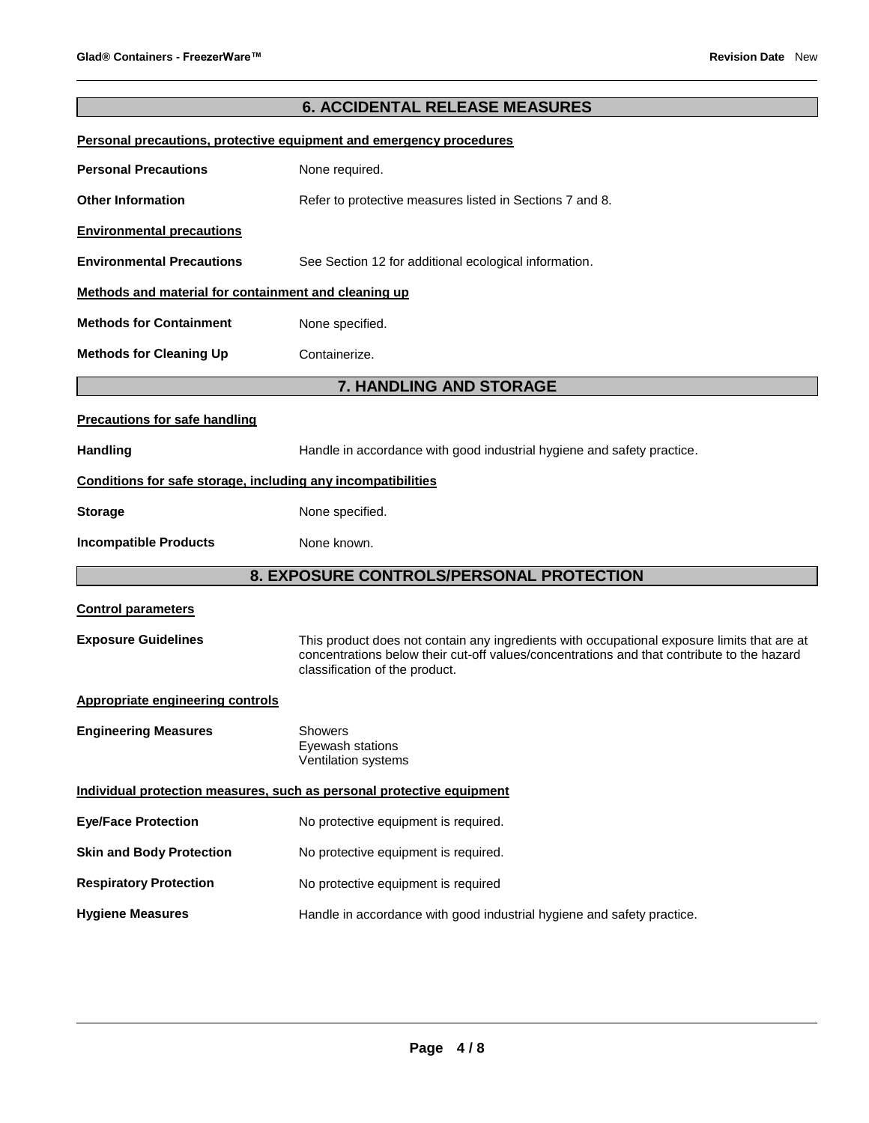# **6. ACCIDENTAL RELEASE MEASURES Personal precautions, protective equipment and emergency procedures Personal Precautions None required. Other Information <b>Refer** to protective measures listed in Sections 7 and 8. **Environmental precautions Environmental Precautions** See Section 12 for additional ecological information. **Methods and material for containment and cleaning up Methods for Containment None specified. Methods for Cleaning Up <b>Containerize. 7. HANDLING AND STORAGE Precautions for safe handling** Handling **Handle in accordance with good industrial hygiene and safety practice. Conditions for safe storage, including any incompatibilities Storage Storage Reserve Storage Storage Storage Storage Storage Storage Storage Storage Storage Storage Storage Storage Storage Storage Storage Storage Storage Storage Storage Storage Storage Storage Storage Storage Stora Incompatible Products** None known. **8. EXPOSURE CONTROLS/PERSONAL PROTECTION Control parameters Exposure Guidelines** This product does not contain any ingredients with occupational exposure limits that are at concentrations below their cut-off values/concentrations and that contribute to the hazard classification of the product. **Appropriate engineering controls Engineering Measures** Showers Eyewash stations Ventilation systems **Individual protection measures, such as personal protective equipment Eye/Face Protection** No protective equipment is required. **Skin and Body Protection** No protective equipment is required. **Respiratory Protection No protective equipment is required**

#### **Hygiene Measures** Handle in accordance with good industrial hygiene and safety practice.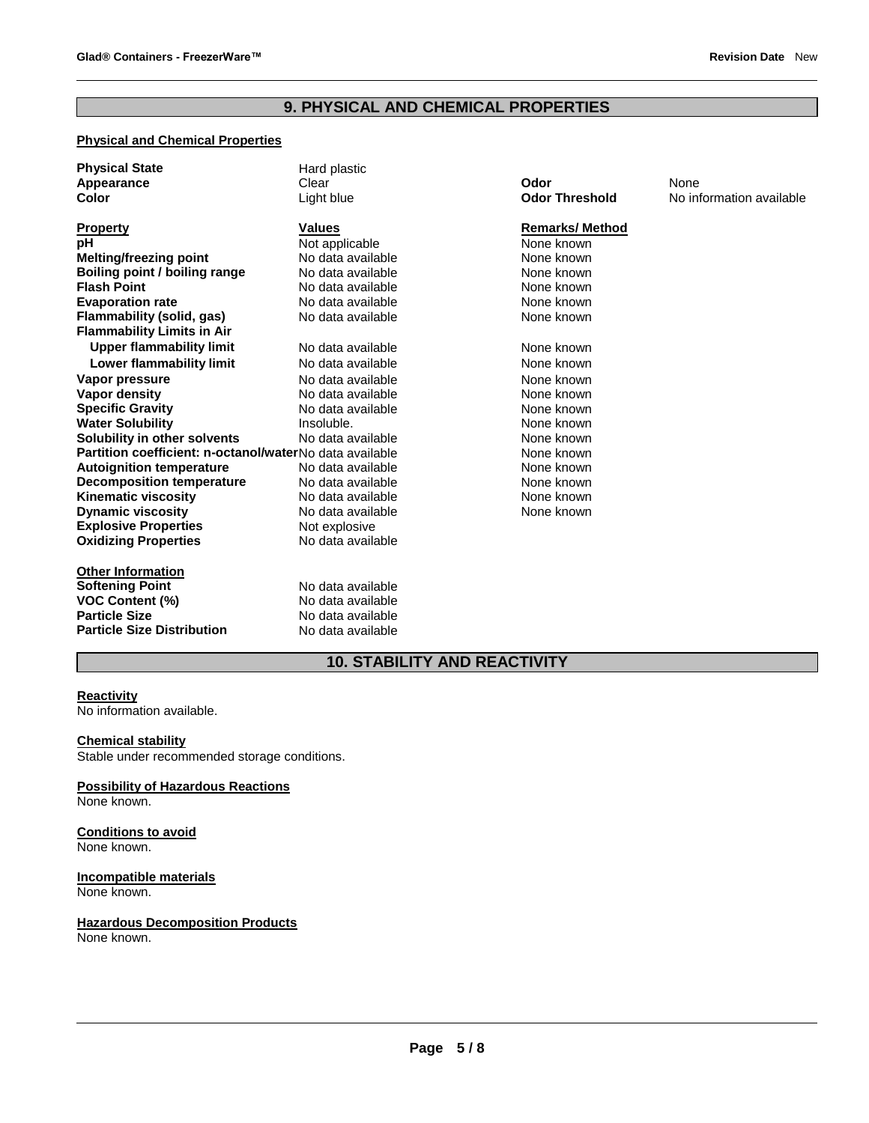# **9. PHYSICAL AND CHEMICAL PROPERTIES**

# **Physical and Chemical Properties**

| <b>Physical State</b>                                   | Hard plastic      |                       |                          |
|---------------------------------------------------------|-------------------|-----------------------|--------------------------|
| Appearance                                              | Clear             | Odor                  | None                     |
| Color                                                   | Light blue        | <b>Odor Threshold</b> | No information available |
| Property                                                | <b>Values</b>     | <b>Remarks/Method</b> |                          |
| рH                                                      | Not applicable    | None known            |                          |
| <b>Melting/freezing point</b>                           | No data available | None known            |                          |
| Boiling point / boiling range                           | No data available | None known            |                          |
| <b>Flash Point</b>                                      | No data available | None known            |                          |
| <b>Evaporation rate</b>                                 | No data available | None known            |                          |
| <b>Flammability (solid, gas)</b>                        | No data available | None known            |                          |
| <b>Flammability Limits in Air</b>                       |                   |                       |                          |
| <b>Upper flammability limit</b>                         | No data available | None known            |                          |
| <b>Lower flammability limit</b>                         | No data available | None known            |                          |
| Vapor pressure                                          | No data available | None known            |                          |
| Vapor density                                           | No data available | None known            |                          |
| <b>Specific Gravity</b>                                 | No data available | None known            |                          |
| <b>Water Solubility</b>                                 | Insoluble.        | None known            |                          |
| Solubility in other solvents                            | No data available | None known            |                          |
| Partition coefficient: n-octanol/waterNo data available |                   | None known            |                          |
| <b>Autoignition temperature</b>                         | No data available | None known            |                          |
| <b>Decomposition temperature</b>                        | No data available | None known            |                          |
| <b>Kinematic viscosity</b>                              | No data available | None known            |                          |
| <b>Dynamic viscosity</b>                                | No data available | None known            |                          |
| <b>Explosive Properties</b>                             | Not explosive     |                       |                          |
| <b>Oxidizing Properties</b>                             | No data available |                       |                          |
| <b>Other Information</b>                                |                   |                       |                          |
| <b>Softening Point</b>                                  | No data available |                       |                          |
| VOC Content (%)                                         | No data available |                       |                          |
| <b>Particle Size</b>                                    | No data available |                       |                          |
| <b>Particle Size Distribution</b>                       | No data available |                       |                          |

# **10. STABILITY AND REACTIVITY**

#### **Reactivity**

No information available.

#### **Chemical stability**

Stable under recommended storage conditions.

**Possibility of Hazardous Reactions** None known.

**Conditions to avoid** None known.

**Incompatible materials** None known.

**Hazardous Decomposition Products** None known.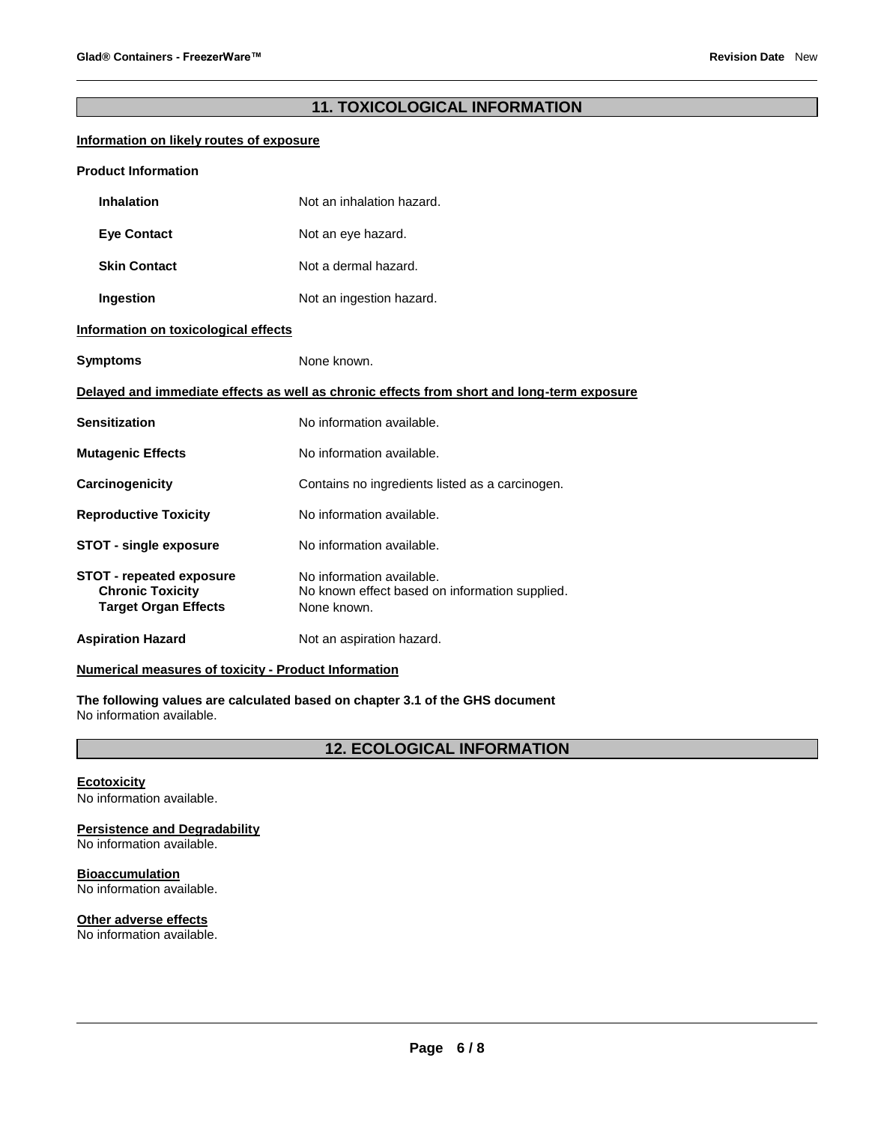# **11. TOXICOLOGICAL INFORMATION**

## **Information on likely routes of exposure**

| <b>Product Information</b>                                                                 |                                                                                            |  |  |  |
|--------------------------------------------------------------------------------------------|--------------------------------------------------------------------------------------------|--|--|--|
| <b>Inhalation</b>                                                                          | Not an inhalation hazard.                                                                  |  |  |  |
| <b>Eye Contact</b>                                                                         | Not an eye hazard.                                                                         |  |  |  |
| <b>Skin Contact</b>                                                                        | Not a dermal hazard.                                                                       |  |  |  |
| Ingestion                                                                                  | Not an ingestion hazard.                                                                   |  |  |  |
| Information on toxicological effects                                                       |                                                                                            |  |  |  |
| <b>Symptoms</b>                                                                            | None known.                                                                                |  |  |  |
| Delayed and immediate effects as well as chronic effects from short and long-term exposure |                                                                                            |  |  |  |
| Sensitization                                                                              | No information available.                                                                  |  |  |  |
| <b>Mutagenic Effects</b>                                                                   | No information available.                                                                  |  |  |  |
| <b>Carcinogenicity</b>                                                                     | Contains no ingredients listed as a carcinogen.                                            |  |  |  |
| <b>Reproductive Toxicity</b>                                                               | No information available.                                                                  |  |  |  |
| <b>STOT - single exposure</b>                                                              | No information available.                                                                  |  |  |  |
| <b>STOT - repeated exposure</b><br><b>Chronic Toxicity</b><br><b>Target Organ Effects</b>  | No information available.<br>No known effect based on information supplied.<br>None known. |  |  |  |
| <b>Aspiration Hazard</b>                                                                   | Not an aspiration hazard.                                                                  |  |  |  |

#### **Numerical measures of toxicity - Product Information**

**The following values are calculated based on chapter 3.1 of the GHS document** No information available.

**12. ECOLOGICAL INFORMATION** 

#### **Ecotoxicity** No information available.

**Persistence and Degradability**

No information available.

# **Bioaccumulation**

No information available.

# **Other adverse effects**

No information available.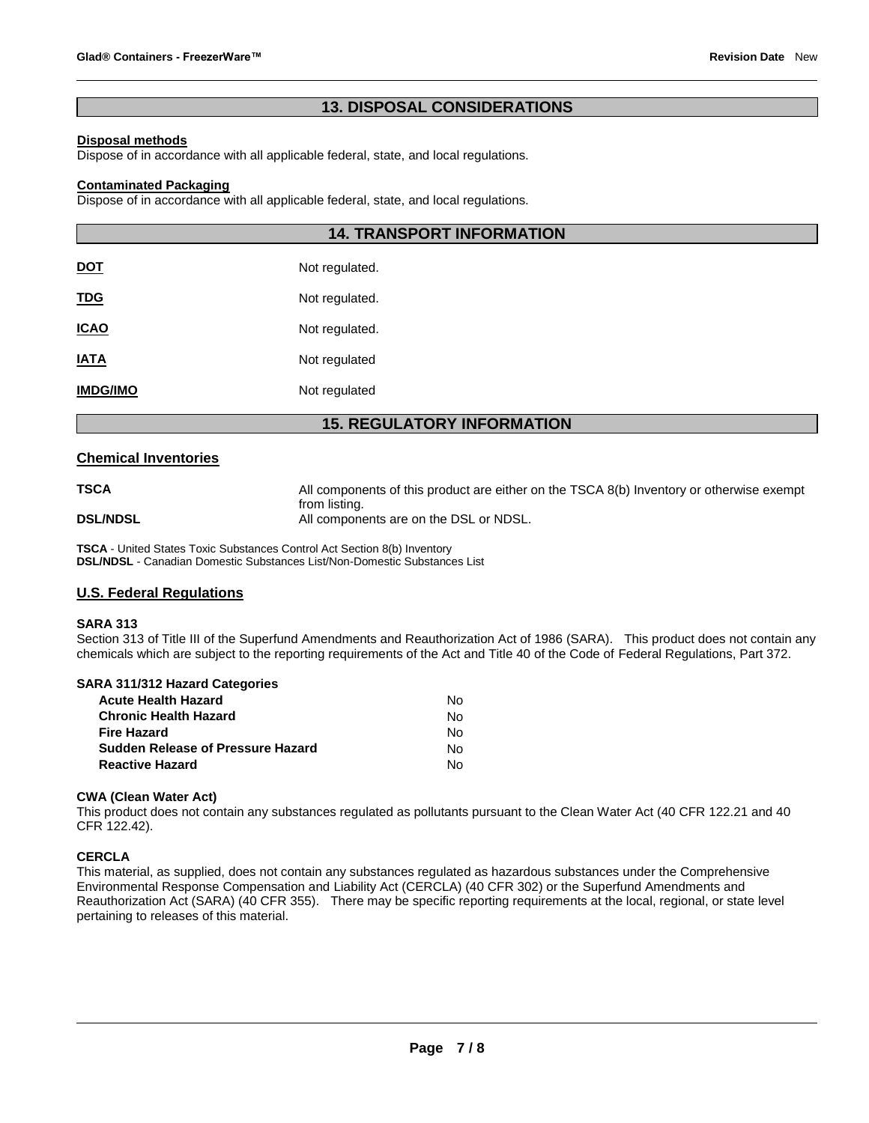# **13. DISPOSAL CONSIDERATIONS**

#### **Disposal methods**

Dispose of in accordance with all applicable federal, state, and local regulations.

#### **Contaminated Packaging**

Dispose of in accordance with all applicable federal, state, and local regulations.

|                 | <b>14. TRANSPORT INFORMATION</b> |
|-----------------|----------------------------------|
| <u>DOT</u>      | Not regulated.                   |
| <u>TDG</u>      | Not regulated.                   |
| <u>ICAO</u>     | Not regulated.                   |
| <b>IATA</b>     | Not regulated                    |
| <b>IMDG/IMO</b> | Not regulated                    |

# **15. REGULATORY INFORMATION**

#### **Chemical Inventories**

**TSCA All components of this product are either on the TSCA 8(b) Inventory or otherwise exempt** from listing. **DSL/NDSL** All components are on the DSL or NDSL.

**TSCA** - United States Toxic Substances Control Act Section 8(b) Inventory **DSL/NDSL** - Canadian Domestic Substances List/Non-Domestic Substances List

## **U.S. Federal Regulations**

#### **SARA 313**

Section 313 of Title III of the Superfund Amendments and Reauthorization Act of 1986 (SARA). This product does not contain any chemicals which are subject to the reporting requirements of the Act and Title 40 of the Code of Federal Regulations, Part 372.

#### **SARA 311/312 Hazard Categories**

| <b>Acute Health Hazard</b>               | N٥ |
|------------------------------------------|----|
| <b>Chronic Health Hazard</b>             | N٥ |
| <b>Fire Hazard</b>                       | N٥ |
| <b>Sudden Release of Pressure Hazard</b> | N٥ |
| <b>Reactive Hazard</b>                   | N٥ |

#### **CWA (Clean Water Act)**

This product does not contain any substances regulated as pollutants pursuant to the Clean Water Act (40 CFR 122.21 and 40 CFR 122.42).

#### **CERCLA**

This material, as supplied, does not contain any substances regulated as hazardous substances under the Comprehensive Environmental Response Compensation and Liability Act (CERCLA) (40 CFR 302) or the Superfund Amendments and Reauthorization Act (SARA) (40 CFR 355). There may be specific reporting requirements at the local, regional, or state level pertaining to releases of this material.